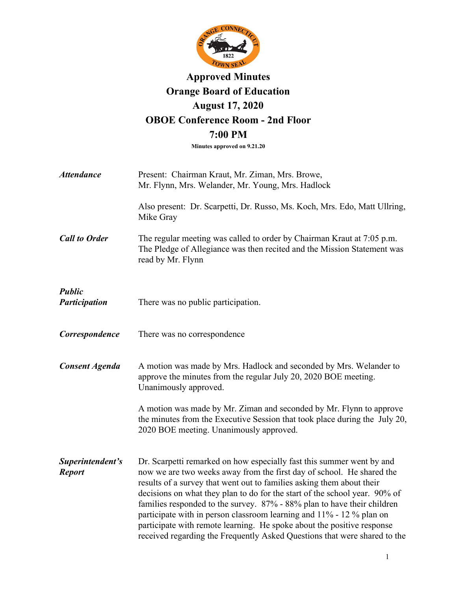

# **Approved Minutes Orange Board of Education August 17, 2020 OBOE Conference Room - 2nd Floor 7:00 PM**

**Minutes approved on 9.21.20**

| <b>Attendance</b>                 | Present: Chairman Kraut, Mr. Ziman, Mrs. Browe,<br>Mr. Flynn, Mrs. Welander, Mr. Young, Mrs. Hadlock                                                                                                                                                                                                                                                                                                                                                                                                                                                                                                            |
|-----------------------------------|-----------------------------------------------------------------------------------------------------------------------------------------------------------------------------------------------------------------------------------------------------------------------------------------------------------------------------------------------------------------------------------------------------------------------------------------------------------------------------------------------------------------------------------------------------------------------------------------------------------------|
|                                   | Also present: Dr. Scarpetti, Dr. Russo, Ms. Koch, Mrs. Edo, Matt Ullring,<br>Mike Gray                                                                                                                                                                                                                                                                                                                                                                                                                                                                                                                          |
| <b>Call to Order</b>              | The regular meeting was called to order by Chairman Kraut at 7:05 p.m.<br>The Pledge of Allegiance was then recited and the Mission Statement was<br>read by Mr. Flynn                                                                                                                                                                                                                                                                                                                                                                                                                                          |
| <b>Public</b><br>Participation    | There was no public participation.                                                                                                                                                                                                                                                                                                                                                                                                                                                                                                                                                                              |
| Correspondence                    | There was no correspondence                                                                                                                                                                                                                                                                                                                                                                                                                                                                                                                                                                                     |
| <b>Consent Agenda</b>             | A motion was made by Mrs. Hadlock and seconded by Mrs. Welander to<br>approve the minutes from the regular July 20, 2020 BOE meeting.<br>Unanimously approved.                                                                                                                                                                                                                                                                                                                                                                                                                                                  |
|                                   | A motion was made by Mr. Ziman and seconded by Mr. Flynn to approve<br>the minutes from the Executive Session that took place during the July 20,<br>2020 BOE meeting. Unanimously approved.                                                                                                                                                                                                                                                                                                                                                                                                                    |
| Superintendent's<br><b>Report</b> | Dr. Scarpetti remarked on how especially fast this summer went by and<br>now we are two weeks away from the first day of school. He shared the<br>results of a survey that went out to families asking them about their<br>decisions on what they plan to do for the start of the school year. 90% of<br>families responded to the survey. 87% - 88% plan to have their children<br>participate with in person classroom learning and 11% - 12 % plan on<br>participate with remote learning. He spoke about the positive response<br>received regarding the Frequently Asked Questions that were shared to the |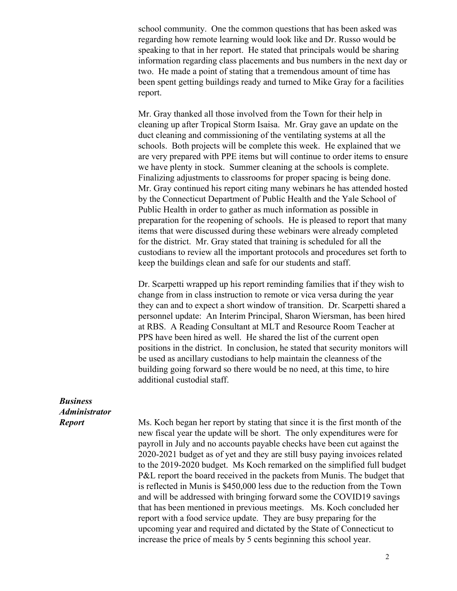school community. One the common questions that has been asked was regarding how remote learning would look like and Dr. Russo would be speaking to that in her report. He stated that principals would be sharing information regarding class placements and bus numbers in the next day or two. He made a point of stating that a tremendous amount of time has been spent getting buildings ready and turned to Mike Gray for a facilities report.

Mr. Gray thanked all those involved from the Town for their help in cleaning up after Tropical Storm Isaisa. Mr. Gray gave an update on the duct cleaning and commissioning of the ventilating systems at all the schools. Both projects will be complete this week. He explained that we are very prepared with PPE items but will continue to order items to ensure we have plenty in stock. Summer cleaning at the schools is complete. Finalizing adjustments to classrooms for proper spacing is being done. Mr. Gray continued his report citing many webinars he has attended hosted by the Connecticut Department of Public Health and the Yale School of Public Health in order to gather as much information as possible in preparation for the reopening of schools. He is pleased to report that many items that were discussed during these webinars were already completed for the district. Mr. Gray stated that training is scheduled for all the custodians to review all the important protocols and procedures set forth to keep the buildings clean and safe for our students and staff.

Dr. Scarpetti wrapped up his report reminding families that if they wish to change from in class instruction to remote or vica versa during the year they can and to expect a short window of transition. Dr. Scarpetti shared a personnel update: An Interim Principal, Sharon Wiersman, has been hired at RBS. A Reading Consultant at MLT and Resource Room Teacher at PPS have been hired as well. He shared the list of the current open positions in the district. In conclusion, he stated that security monitors will be used as ancillary custodians to help maintain the cleanness of the building going forward so there would be no need, at this time, to hire additional custodial staff.

## *Business Administrator Report*

Ms. Koch began her report by stating that since it is the first month of the new fiscal year the update will be short. The only expenditures were for payroll in July and no accounts payable checks have been cut against the 2020-2021 budget as of yet and they are still busy paying invoices related to the 2019-2020 budget. Ms Koch remarked on the simplified full budget P&L report the board received in the packets from Munis. The budget that is reflected in Munis is \$450,000 less due to the reduction from the Town and will be addressed with bringing forward some the COVID19 savings that has been mentioned in previous meetings. Ms. Koch concluded her report with a food service update. They are busy preparing for the upcoming year and required and dictated by the State of Connecticut to increase the price of meals by 5 cents beginning this school year.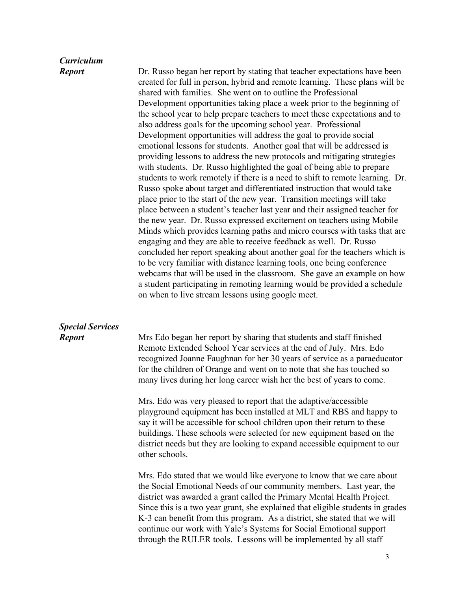#### *Curriculum Report*

Dr. Russo began her report by stating that teacher expectations have been created for full in person, hybrid and remote learning. These plans will be shared with families. She went on to outline the Professional Development opportunities taking place a week prior to the beginning of the school year to help prepare teachers to meet these expectations and to also address goals for the upcoming school year. Professional Development opportunities will address the goal to provide social emotional lessons for students. Another goal that will be addressed is providing lessons to address the new protocols and mitigating strategies with students. Dr. Russo highlighted the goal of being able to prepare students to work remotely if there is a need to shift to remote learning. Dr. Russo spoke about target and differentiated instruction that would take place prior to the start of the new year. Transition meetings will take place between a student's teacher last year and their assigned teacher for the new year. Dr. Russo expressed excitement on teachers using Mobile Minds which provides learning paths and micro courses with tasks that are engaging and they are able to receive feedback as well. Dr. Russo concluded her report speaking about another goal for the teachers which is to be very familiar with distance learning tools, one being conference webcams that will be used in the classroom. She gave an example on how a student participating in remoting learning would be provided a schedule on when to live stream lessons using google meet.

#### *Special Services Report*

Mrs Edo began her report by sharing that students and staff finished Remote Extended School Year services at the end of July. Mrs. Edo recognized Joanne Faughnan for her 30 years of service as a paraeducator for the children of Orange and went on to note that she has touched so many lives during her long career wish her the best of years to come.

Mrs. Edo was very pleased to report that the adaptive/accessible playground equipment has been installed at MLT and RBS and happy to say it will be accessible for school children upon their return to these buildings. These schools were selected for new equipment based on the district needs but they are looking to expand accessible equipment to our other schools.

Mrs. Edo stated that we would like everyone to know that we care about the Social Emotional Needs of our community members. Last year, the district was awarded a grant called the Primary Mental Health Project. Since this is a two year grant, she explained that eligible students in grades K-3 can benefit from this program. As a district, she stated that we will continue our work with Yale's Systems for Social Emotional support through the RULER tools. Lessons will be implemented by all staff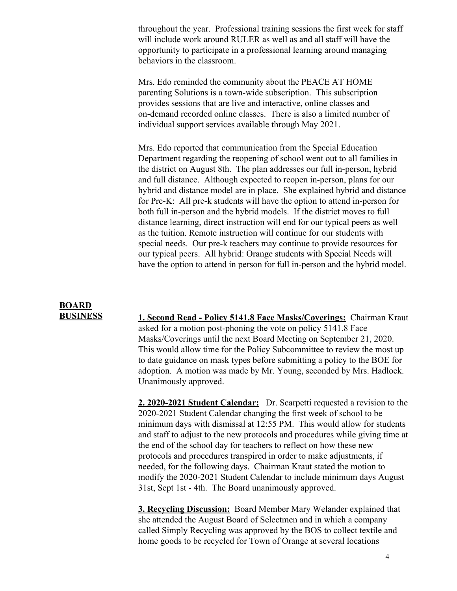throughout the year. Professional training sessions the first week for staff will include work around RULER as well as and all staff will have the opportunity to participate in a professional learning around managing behaviors in the classroom.

Mrs. Edo reminded the community about the [PEACE AT HOME](https://mail.google.com/mail/u/0/?tab=rm&ogbl#search/jeanbstratton%40gmail.com/WhctKJVqxzmsTKWBRTcZdplhbszxzQjxstwQVJSJFXrVwkbjTGGtnhmGbjbSLkPwHqPKPRG?projector=1&messagePartId=0.1) [parenting Solutions](https://mail.google.com/mail/u/0/?tab=rm&ogbl#search/jeanbstratton%40gmail.com/WhctKJVqxzmsTKWBRTcZdplhbszxzQjxstwQVJSJFXrVwkbjTGGtnhmGbjbSLkPwHqPKPRG?projector=1&messagePartId=0.1) is a town-wide subscription. This subscription provides sessions that are live and interactive, online classes and on-demand recorded online classes. There is also a limited number of individual support services available through May 2021.

Mrs. Edo reported that communication from the Special Education Department regarding the reopening of school went out to all families in the district on August 8th. The plan addresses our full in-person, hybrid and full distance. Although expected to reopen in-person, plans for our hybrid and distance model are in place. She explained hybrid and distance for Pre-K: All pre-k students will have the option to attend in-person for both full in-person and the hybrid models. If the district moves to full distance learning, direct instruction will end for our typical peers as well as the tuition. Remote instruction will continue for our students with special needs. Our pre-k teachers may continue to provide resources for our typical peers. All hybrid: Orange students with Special Needs will have the option to attend in person for full in-person and the hybrid model.

## **BOARD BUSINESS**

**1. Second Read - Policy 5141.8 Face Masks/Coverings:** Chairman Kraut asked for a motion post-phoning the vote on policy 5141.8 Face Masks/Coverings until the next Board Meeting on September 21, 2020. This would allow time for the Policy Subcommittee to review the most up to date guidance on mask types before submitting a policy to the BOE for adoption. A motion was made by Mr. Young, seconded by Mrs. Hadlock. Unanimously approved.

**2. 2020-2021 Student Calendar:** Dr. Scarpetti requested a revision to the 2020-2021 Student Calendar changing the first week of school to be minimum days with dismissal at 12:55 PM. This would allow for students and staff to adjust to the new protocols and procedures while giving time at the end of the school day for teachers to reflect on how these new protocols and procedures transpired in order to make adjustments, if needed, for the following days. Chairman Kraut stated the motion to modify the 2020-2021 Student Calendar to include minimum days August 31st, Sept 1st - 4th. The Board unanimously approved.

**3. Recycling Discussion:** Board Member Mary Welander explained that she attended the August Board of Selectmen and in which a company called Simply Recycling was approved by the BOS to collect textile and home goods to be recycled for Town of Orange at several locations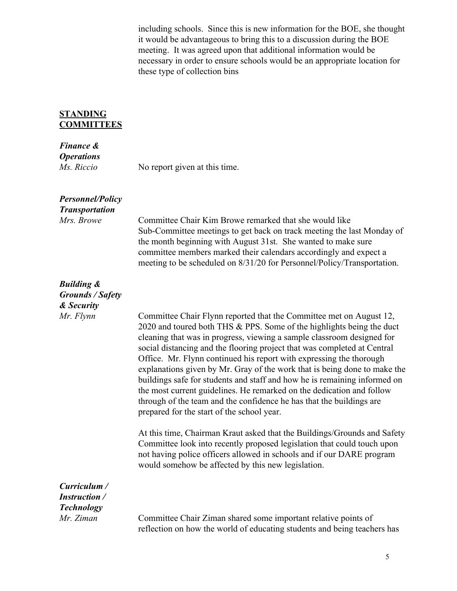including schools. Since this is new information for the BOE, she thought it would be advantageous to bring this to a discussion during the BOE meeting. It was agreed upon that additional information would be necessary in order to ensure schools would be an appropriate location for these type of collection bins

## **STANDING COMMITTEES**

# *Finance &*

*Operations Ms. Riccio* No report given at this time.

| <b>Personnel/Policy</b> |
|-------------------------|
| <b>Transportation</b>   |
| Mrs. Browe              |

Committee Chair Kim Browe remarked that she would like Sub-Committee meetings to get back on track meeting the last Monday of the month beginning with August 31st. She wanted to make sure committee members marked their calendars accordingly and expect a meeting to be scheduled on 8/31/20 for Personnel/Policy/Transportation.

# *Building & Grounds / Safety*

| Grounas / Safety                                          |                                                                                                                                                                                                                                                                                                                                                                                                                                                                                                                                                                                                                                                                                                                                    |
|-----------------------------------------------------------|------------------------------------------------------------------------------------------------------------------------------------------------------------------------------------------------------------------------------------------------------------------------------------------------------------------------------------------------------------------------------------------------------------------------------------------------------------------------------------------------------------------------------------------------------------------------------------------------------------------------------------------------------------------------------------------------------------------------------------|
| & Security                                                |                                                                                                                                                                                                                                                                                                                                                                                                                                                                                                                                                                                                                                                                                                                                    |
| Mr. Flynn                                                 | Committee Chair Flynn reported that the Committee met on August 12,<br>2020 and toured both THS & PPS. Some of the highlights being the duct<br>cleaning that was in progress, viewing a sample classroom designed for<br>social distancing and the flooring project that was completed at Central<br>Office. Mr. Flynn continued his report with expressing the thorough<br>explanations given by Mr. Gray of the work that is being done to make the<br>buildings safe for students and staff and how he is remaining informed on<br>the most current guidelines. He remarked on the dedication and follow<br>through of the team and the confidence he has that the buildings are<br>prepared for the start of the school year. |
|                                                           | At this time, Chairman Kraut asked that the Buildings/Grounds and Safety<br>Committee look into recently proposed legislation that could touch upon<br>not having police officers allowed in schools and if our DARE program<br>would somehow be affected by this new legislation.                                                                                                                                                                                                                                                                                                                                                                                                                                                 |
| Curriculum /<br><b>Instruction</b> /<br><b>Technology</b> |                                                                                                                                                                                                                                                                                                                                                                                                                                                                                                                                                                                                                                                                                                                                    |
| Mr. Ziman                                                 | Committee Chair Ziman shared some important relative points of<br>reflection on how the world of educating students and being teachers has                                                                                                                                                                                                                                                                                                                                                                                                                                                                                                                                                                                         |

5